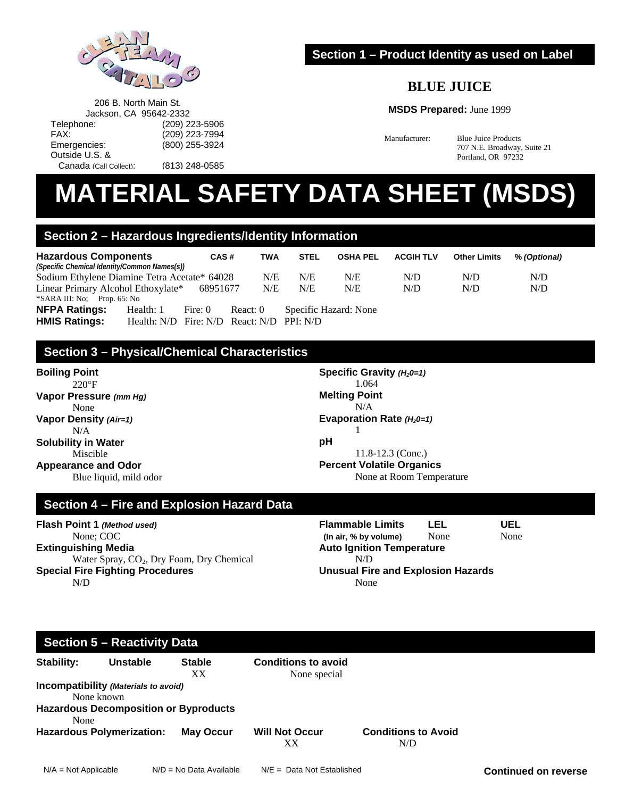

206 B. North Main St. Jackson, CA 95642-2332 Telephone: (209) 223-5906<br>FAX: (209) 223-7994

Emergencies: (800) 255-3924

Canada (Call Collect): (813) 248-0585

## **Section 1 – Product Identity as used on Label**

## **BLUE JUICE**

**MSDS Prepared:** June 1999

Manufacturer: Blue Juice Products 707 N.E. Broadway, Suite 21 Portland, OR 97232

# **MATERIAL SAFETY DATA SHEET (MSDS)**

## **Section 2 – Hazardous Ingredients/Identity Information**

(209) 223-7994

| <b>Hazardous Components</b>                  | CAS#     | TWA | <b>STEL</b> |     | OSHA PEL ACGIH TLV | <b>Other Limits</b> | % (Optional) |
|----------------------------------------------|----------|-----|-------------|-----|--------------------|---------------------|--------------|
| (Specific Chemical Identity/Common Names(s)) |          |     |             |     |                    |                     |              |
| Sodium Ethylene Diamine Tetra Acetate* 64028 |          | N/E | N/E         | N/E | N/D                | N/D                 | N/D          |
| Linear Primary Alcohol Ethoxylate*           | 68951677 | N/E | N/E         | N/E | N/D                | N/D                 | N/D          |
| *SARA III: No; Prop. 65: No                  |          |     |             |     |                    |                     |              |

**NFPA Ratings:** Health: 1 Fire: 0 React: 0 Specific Hazard: None **HMIS Ratings:** Health: N/D Fire: N/D React: N/D PPI: N/D

## **Section 3 – Physical/Chemical Characteristics**

**Boiling Point**   $220^{\circ}F$ **Vapor Pressure** *(mm Hg)* None **Vapor Density** *(Air=1)* N/A

Outside U.S. &

**Solubility in Water**  Miscible **Appearance and Odor** 

Blue liquid, mild odor

**Specific Gravity**  $(H_20=1)$  1.064 **Melting Point**  N/A Evaporation Rate (H<sub>2</sub>0=1) 1 **pH**  11.8-12.3 (Conc.) **Percent Volatile Organics**  None at Room Temperature

### **Section 4 – Fire and Explosion Hazard Data**

**Flash Point 1** *(Method used)* None; COC **Extinguishing Media**  Water Spray, CO<sub>2</sub>, Dry Foam, Dry Chemical **Special Fire Fighting Procedures**  N/D

**Flammable Limits LEL UEL (In air, % by volume)** None None **Auto Ignition Temperature**  N/D **Unusual Fire and Explosion Hazards**  None

## **Section 5 – Reactivity Data**

| Stability: | <b>Unstable</b>                              | <b>Stable</b><br>XX | <b>Conditions to avoid</b><br>None special |                            |
|------------|----------------------------------------------|---------------------|--------------------------------------------|----------------------------|
|            | Incompatibility (Materials to avoid)         |                     |                                            |                            |
|            | None known                                   |                     |                                            |                            |
|            | <b>Hazardous Decomposition or Byproducts</b> |                     |                                            |                            |
| None       |                                              |                     |                                            |                            |
|            | <b>Hazardous Polymerization:</b>             | <b>May Occur</b>    | <b>Will Not Occur</b>                      | <b>Conditions to Avoid</b> |
|            |                                              |                     | xх                                         | N/D                        |